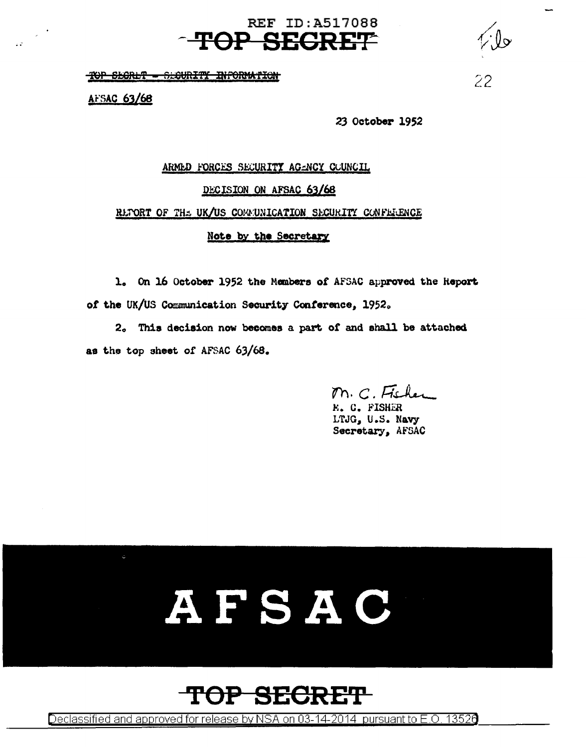#### **REF ID: A517088 TOP SECRET**

TOP SEGRET - SEGURITY INFORMATION

AFSAC 63/68

 $\mathbb{R}^3$ 

23 October 1952

 $22^{1}$ 

## ARMED FORCES SECURITY AGENCY COUNCIL DECISION ON AFSAC 63/68 REFORT OF THE UK/US COMMUNICATION SECURITY CONFERENCE Note by the Secretary

1. On 16 October 1952 the Members of AFSAC approved the Heport of the UK/US Communication Security Conference, 1952.

2. This decision now becomes a part of and shall be attached as the top sheet of AFSAC 63/68.

M. C. Fisher

**E. C. FISHER** LTJG, U.S. Navy Secretary, AFSAC

# AFSAC



Declassified and approved for release by NSA on 03-14-2014 pursuant to E.O. 13526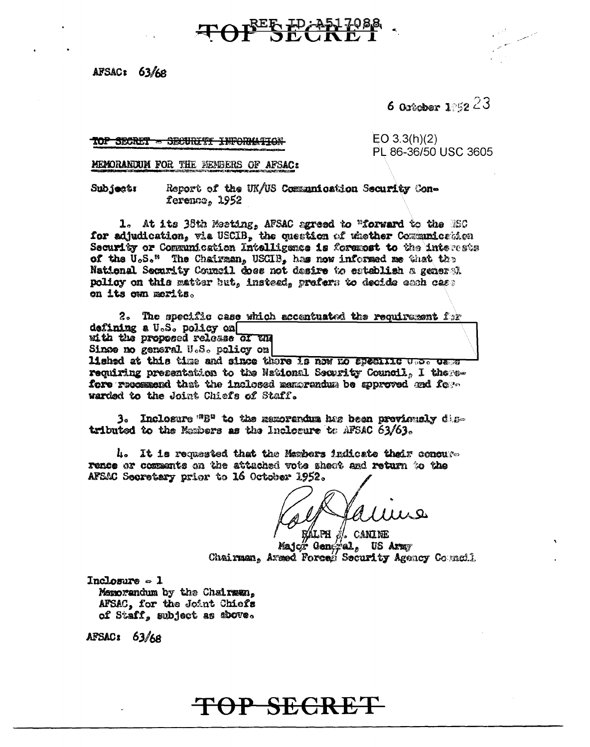AFSAC: 63/68

6 October 1:52  $23$ 

TOP SECRET - SECURETY INFORMATION

 $EO 3.3(h)(2)$ PL 86-36/50 USC 3605

MEMORANDUM FOR THE MEMBERS OF AFSAC:

Subjectr Report of the UK/US Communication Security Conference, 1952

1. At its 38th Meeting, AFSAC agreed to "forward to the ESC for adjudication, wis USCIB, the question of whether Communication Security or Communication Intelligence is foremost to the interests of the U.S." The Chairman, USCIB, has now informed me that the National Security Council does not desire to establish a general policy on this matter but, instead, prefers to decide each case on its own merits.

OP SECRETIE

2. The specific case which accentuated the requirement  $f: r$ defining a U.S. policy on uith the proposed release of un Singe no general U.S. policy on lished at this time and since there is now no apecific who came requiring presentation to the National Security Council, I therefore recommend that the inclosed manurandum be approved and form warded to the Joint Chiefs of Staff.

3. Inclosure "B" to the memorandum has been previously distributed to the Members as the Inclosure to AFSAC 63/63.

4. It is requested that the Maxbers indicate thair concurrence or comments on the attached vote sheet and return to the AFSAC Secretary prior to 16 October 1952.

(ALPH *J*/, CANINE Major General, US Army Chairman, Armed Forcas Security Agency Council

 $Inclogura = 1$ Memorandum by the Chairman. AFSAC, for the Joint Chiefs of Staff, subject as shove.

AFSAC: 63/68

## TOP SECRET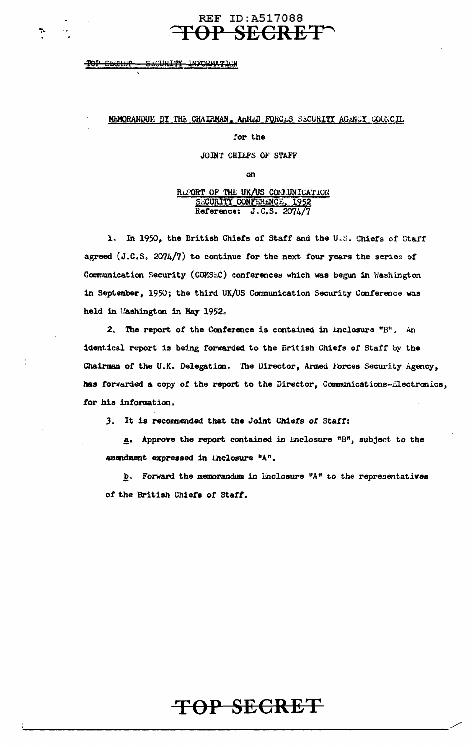## **REF ID:A517088** TOP SECRET^

#### TOP SECRET SECURITY INFORMATION

 $\ddot{\phantom{a}}$ 

#### MEMORANDUM BY THE CHAIRMAN, ARMED FORCES SECURITY AGENCY COUNCIL

#### for the

#### JOINT CHILFS OF STAFF

œη

## REPORT OF THE UK/US COMMUNICATION<br>SECURITY CONFERENCE, 1952<br>Reference: J.C.S. 2074/7

1. In 1950, the British Chiefs of Staff and the U.S. Chiefs of Staff agreed (J.C.S. 2074/7) to continue for the next four years the series of Communication Security (COMSEC) conferences which was begun in Washington in September, 1950; the third UK/US Communication Security Conference was held in Washington in May 1952.

2. The report of the Conference is contained in Enclosure "B", An identical report is being forwarded to the British Chiefs of Staff by the Chairman of the U.K. Delegation. The Director, Armed Forces Security Agency, has forwarded a copy of the report to the Director, Communications-Electronics, for his information.

3. It is recommended that the Joint Chiefs of Staff:

a. Approve the report contained in Enclosure "B", subject to the amendment expressed in Enclosure "A".

 $\underline{b}$ . Forward the memorandum in Enclosure "A" to the representatives of the British Chiefs of Staff.

## TOP SECRET